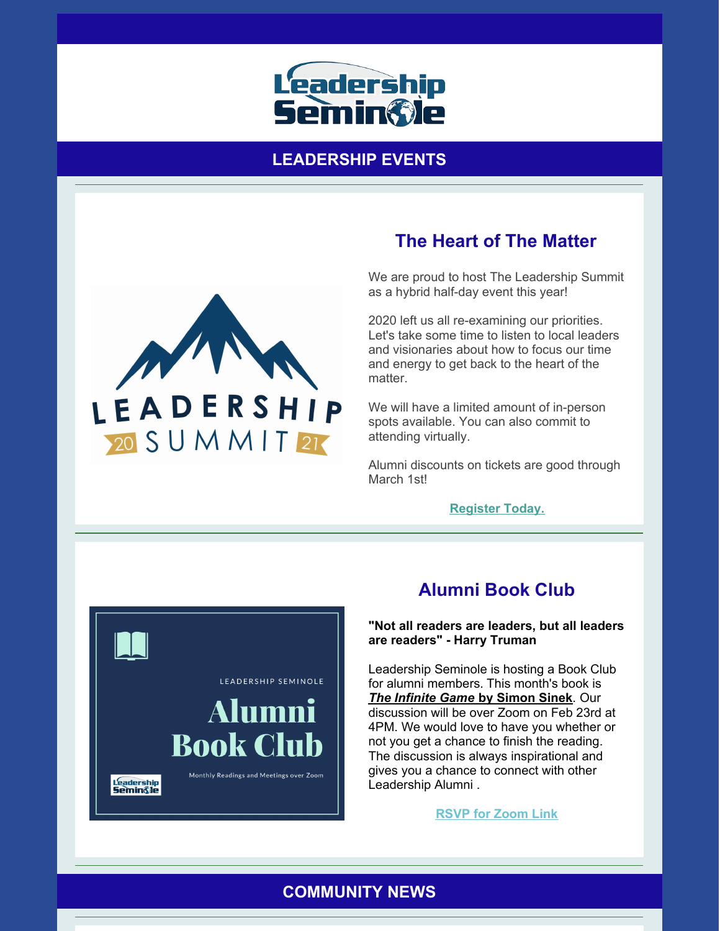

### **LEADERSHIP EVENTS**



# **The Heart of The Matter**

We are proud to host The Leadership Summit as a hybrid half-day event this year!

2020 left us all re-examining our priorities. Let's take some time to listen to local leaders and visionaries about how to focus our time and energy to get back to the heart of the matter.

We will have a limited amount of in-person spots available. You can also commit to attending virtually.

Alumni discounts on tickets are good through March 1st!

**[Register](https://leadershipseminole.org/event/summit/) Today.**



# **Alumni Book Club**

#### **"Not all readers are leaders, but all leaders are readers" - Harry Truman**

Leadership Seminole is hosting a Book Club for alumni members. This month's book is *The [Infinite](https://www.amazon.com/Infinite-Game-Simon-Sinek-ebook/dp/B079DWSYYB/ref=sr_1_1?dchild=1&qid=1613059075&refinements=p_27%3ASimon+Sinek&s=books&sr=1-1) Game* **by [Simon](https://www.amazon.com/Infinite-Game-Simon-Sinek-ebook/dp/B079DWSYYB/ref=sr_1_1?dchild=1&qid=1613059075&refinements=p_27%3ASimon+Sinek&s=books&sr=1-1) Sinek**. Our discussion will be over Zoom on Feb 23rd at 4PM. We would love to have you whether or not you get a chance to finish the reading. The discussion is always inspirational and gives you a chance to connect with other Leadership Alumni .

**[RSVP](mailto:srussell@leadershipseminole.org) for Zoom Link**

## **COMMUNITY NEWS**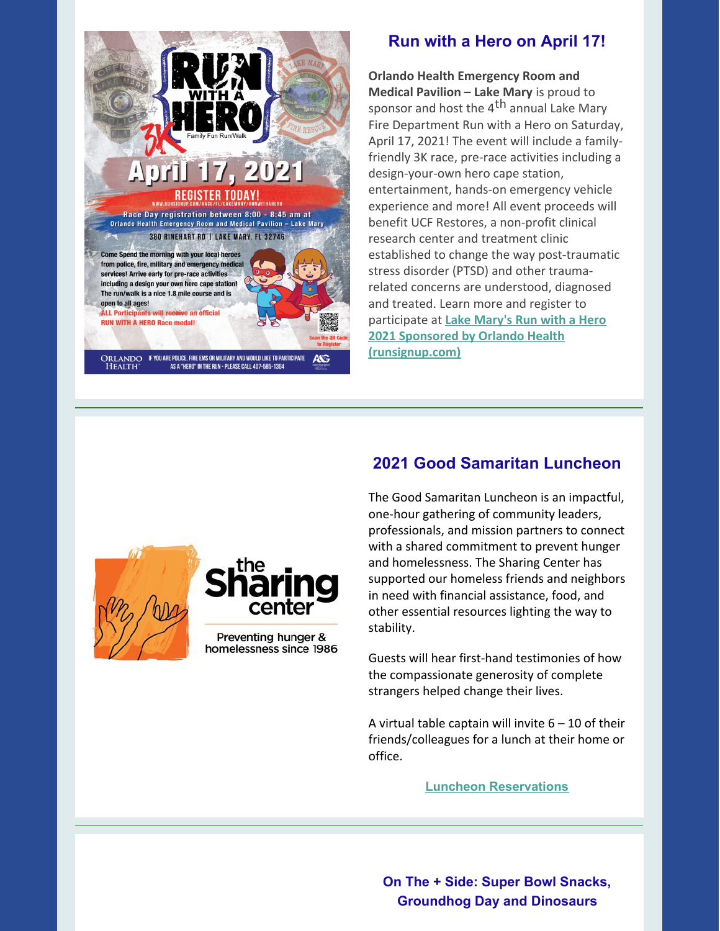

## **Run with a Hero on April 17!**

**Orlando Health Emergency Room and Medical Pavilion – Lake Mary** is proud to sponsor and host the 4<sup>th</sup> annual Lake Mary Fire Department Run with a Hero on Saturday, April 17, 2021! The event will include a familyfriendly 3K race, pre-race activities including a design-your-own hero cape station, entertainment, hands-on emergency vehicle experience and more! All event proceeds will benefit UCF Restores, a non-profit clinical research center and treatment clinic established to change the way post-traumatic stress disorder (PTSD) and other traumarelated concerns are understood, diagnosed and treated. Learn more and register to participate at **Lake Mary's Run with a Hero 2021 Sponsored by Orlando Health [\(runsignup.com\)](https://runsignup.com/Race/FL/LakeMary/RunwithaHero)**





homelessness since 1986

# **2021 Good Samaritan Luncheon**

The Good Samaritan Luncheon is an impactful, one-hour gathering of community leaders, professionals, and mission partners to connect with a shared commitment to prevent hunger and homelessness. The Sharing Center has supported our homeless friends and neighbors in need with financial assistance, food, and other essential resources lighting the way to stability.

Guests will hear first-hand testimonies of how the compassionate generosity of complete strangers helped change their lives.

A virtual table captain will invite  $6 - 10$  of their friends/colleagues for a lunch at their home or office.

**Luncheon [Reservations](https://thesharingcenter.org/2021goodsamaritan)**

**On The + Side: Super Bowl Snacks, Groundhog Day and Dinosaurs**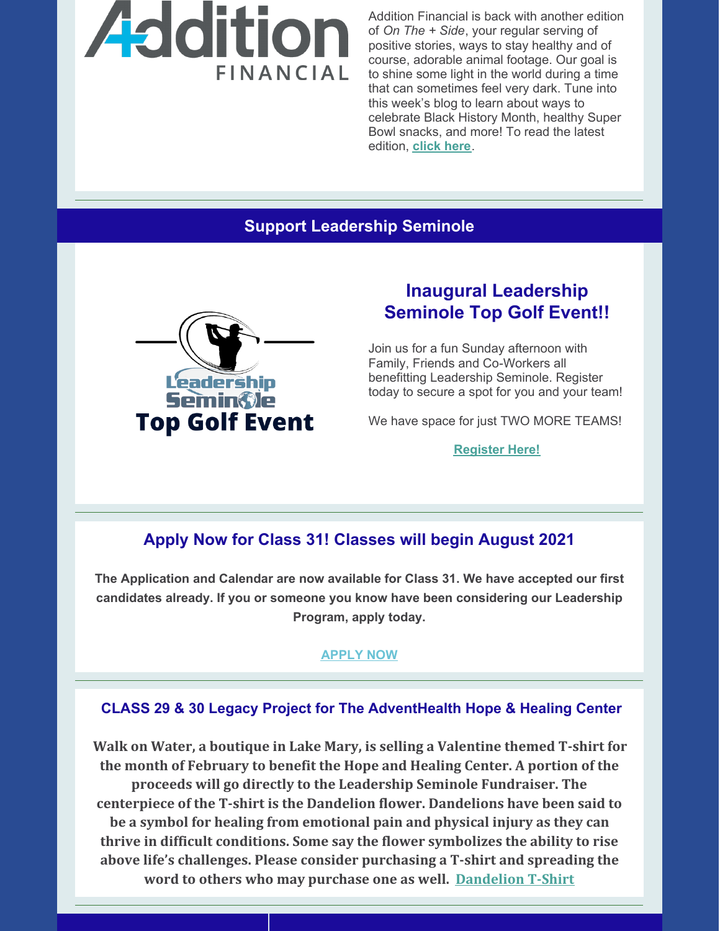

Addition Financial is back with another edition of *On The + Side*, your regular serving of positive stories, ways to stay healthy and of course, adorable animal footage. Our goal is to shine some light in the world during a time that can sometimes feel very dark. Tune into this week's blog to learn about ways to celebrate Black History Month, healthy Super Bowl snacks, and more! To read the latest edition, **[click](https://resources.additionfi.com/on-the-side-holiday-lights-avocados-and-local-makers) here**.

### **Support Leadership Seminole**



# **Inaugural Leadership Seminole Top Golf Event!!**

Join us for a fun Sunday afternoon with Family, Friends and Co-Workers all benefitting Leadership Seminole. Register today to secure a spot for you and your team!

We have space for just TWO MORE TEAMS!

**[Register](https://leadershipseminole.org/event/top-golf/) Here!**

### **Apply Now for Class 31! Classes will begin August 2021**

**The Application and Calendar are now available for Class 31. We have accepted our first candidates already. If you or someone you know have been considering our Leadership Program, apply today.**

### **[APPLY](https://leadershipseminole.org/apply-now/) NOW**

### **CLASS 29 & 30 Legacy Project for The AdventHealth Hope & Healing Center**

**Walk on Water, a boutique in Lake Mary, is selling a Valentine themed T-shirt for the month of February to benefit the Hope and Healing Center. A portion of the proceeds will go directly to the Leadership Seminole Fundraiser. The centerpiece of the T-shirt is the Dandelion flower. Dandelions have been said to be a symbol for healing from emotional pain and physical injury as they can thrive in difficult conditions. Some say the flower symbolizes the ability to rise above life's challenges. Please consider purchasing a T-shirt and spreading the word to others who may purchase one as well. [Dandelion](https://files.constantcontact.com/206c3f27be/f8dd8885-c8fa-40cf-bf13-7c1db0a9dad3.pdf) T-Shirt**